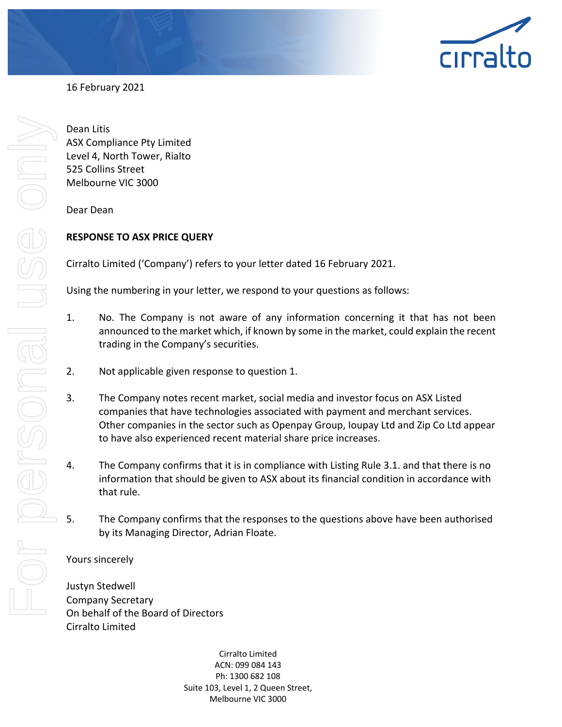

16 February 2021

For personal use only For personel use onl

Dean Litis ASX Compliance Pty Limited Level 4, North Tower, Rialto 525 Collins Street Melbourne VIC 3000

Dear Dean

# **RESPONSE TO ASX PRICE QUERY**

Cirralto Limited ('Company') refers to your letter dated 16 February 2021.

Using the numbering in your letter, we respond to your questions as follows:

- 1. No. The Company is not aware of any information concerning it that has not been announced to the market which, if known by some in the market, could explain the recent trading in the Company's securities.
- 2. Not applicable given response to question 1.
- 3. The Company notes recent market, social media and investor focus on ASX Listed companies that have technologies associated with payment and merchant services. Other companies in the sector such as Openpay Group, Ioupay Ltd and Zip Co Ltd appear to have also experienced recent material share price increases.
- 4. The Company confirms that it is in compliance with Listing Rule 3.1. and that there is no information that should be given to ASX about its financial condition in accordance with that rule.
- 5. The Company confirms that the responses to the questions above have been authorised by its Managing Director, Adrian Floate.

## Yours sincerely

Justyn Stedwell Company Secretary On behalf of the Board of Directors Cirralto Limited

> Cirralto Limited ACN: 099 084 143 Ph: 1300 682 108 Suite 103, Level 1, 2 Queen Street, Melbourne VIC 3000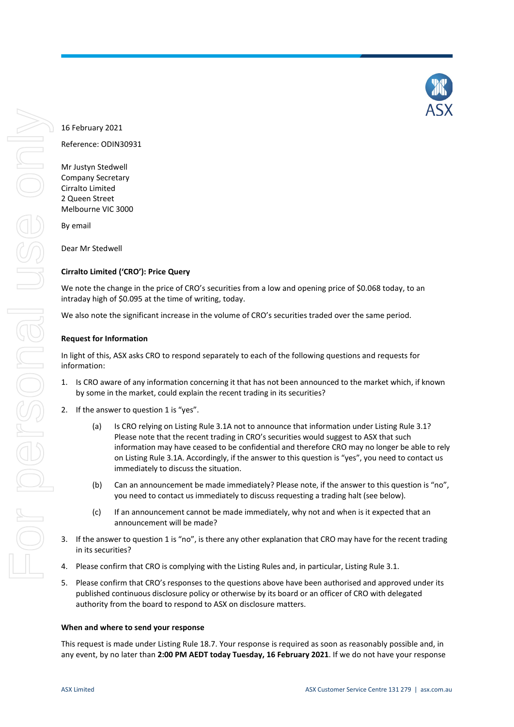

Reference: ODIN30931

Mr Justyn Stedwell Company Secretary Cirralto Limited 2 Queen Street Melbourne VIC 3000

By email

Dear Mr Stedwell

## **Cirralto Limited ('CRO'): Price Query**

We note the change in the price of CRO's securities from a low and opening price of \$0.068 today, to an intraday high of \$0.095 at the time of writing, today.

We also note the significant increase in the volume of CRO's securities traded over the same period.

## **Request for Information**

In light of this, ASX asks CRO to respond separately to each of the following questions and requests for information:

- 1. Is CRO aware of any information concerning it that has not been announced to the market which, if known by some in the market, could explain the recent trading in its securities?
- 2. If the answer to question 1 is "yes".
	- (a) Is CRO relying on Listing Rule 3.1A not to announce that information under Listing Rule 3.1? Please note that the recent trading in CRO's securities would suggest to ASX that such information may have ceased to be confidential and therefore CRO may no longer be able to rely on Listing Rule 3.1A. Accordingly, if the answer to this question is "yes", you need to contact us immediately to discuss the situation.
	- (b) Can an announcement be made immediately? Please note, if the answer to this question is "no", you need to contact us immediately to discuss requesting a trading halt (see below).
	- (c) If an announcement cannot be made immediately, why not and when is it expected that an announcement will be made?
- 3. If the answer to question 1 is "no", is there any other explanation that CRO may have for the recent trading in its securities?
- 4. Please confirm that CRO is complying with the Listing Rules and, in particular, Listing Rule 3.1.
- 5. Please confirm that CRO's responses to the questions above have been authorised and approved under its published continuous disclosure policy or otherwise by its board or an officer of CRO with delegated authority from the board to respond to ASX on disclosure matters.

## **When and where to send your response**

This request is made under Listing Rule 18.7. Your response is required as soon as reasonably possible and, in any event, by no later than **2:00 PM AEDT today Tuesday, 16 February 2021**. If we do not have your response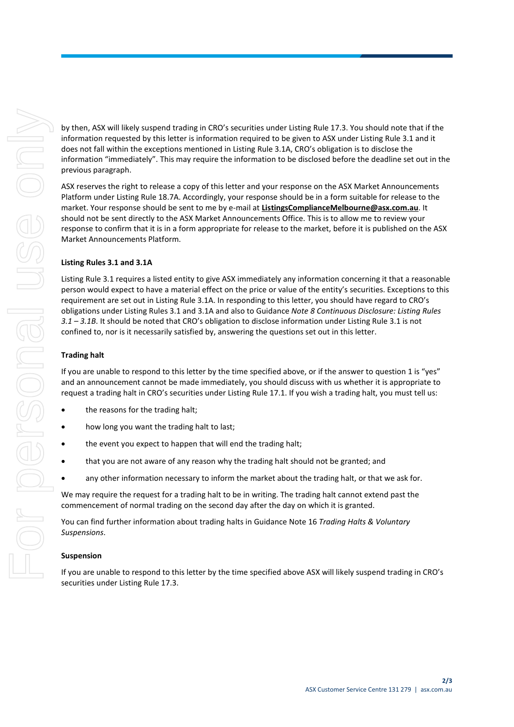by then, ASX will likely suspend trading in CRO's securities under Listing Rule 17.3. You should note that if the information requested by this letter is information required to be given to ASX under Listing Rule 3.1 and it does not fall within the exceptions mentioned in Listing Rule 3.1A, CRO's obligation is to disclose the information "immediately". This may require the information to be disclosed before the deadline set out in the previous paragraph.

ASX reserves the right to release a copy of this letter and your response on the ASX Market Announcements Platform under Listing Rule 18.7A. Accordingly, your response should be in a form suitable for release to the market. Your response should be sent to me by e-mail at **ListingsComplianceMelbourne@asx.com.au**. It should not be sent directly to the ASX Market Announcements Office. This is to allow me to review your response to confirm that it is in a form appropriate for release to the market, before it is published on the ASX Market Announcements Platform.

#### **Listing Rules 3.1 and 3.1A**

Listing Rule 3.1 requires a listed entity to give ASX immediately any information concerning it that a reasonable person would expect to have a material effect on the price or value of the entity's securities. Exceptions to this requirement are set out in Listing Rule 3.1A. In responding to this letter, you should have regard to CRO's obligations under Listing Rules 3.1 and 3.1A and also to Guidance *Note 8 Continuous Disclosure: Listing Rules 3.1 – 3.1B*. It should be noted that CRO's obligation to disclose information under Listing Rule 3.1 is not confined to, nor is it necessarily satisfied by, answering the questions set out in this letter.

#### **Trading halt**

If you are unable to respond to this letter by the time specified above, or if the answer to question 1 is "yes" and an announcement cannot be made immediately, you should discuss with us whether it is appropriate to request a trading halt in CRO's securities under Listing Rule 17.1. If you wish a trading halt, you must tell us:

- the reasons for the trading halt;
- how long you want the trading halt to last;
- the event you expect to happen that will end the trading halt;
- that you are not aware of any reason why the trading halt should not be granted; and
- any other information necessary to inform the market about the trading halt, or that we ask for.

We may require the request for a trading halt to be in writing. The trading halt cannot extend past the commencement of normal trading on the second day after the day on which it is granted.

You can find further information about trading halts in Guidance Note 16 *Trading Halts & Voluntary Suspensions*.

#### **Suspension**

If you are unable to respond to this letter by the time specified above ASX will likely suspend trading in CRO's securities under Listing Rule 17.3.